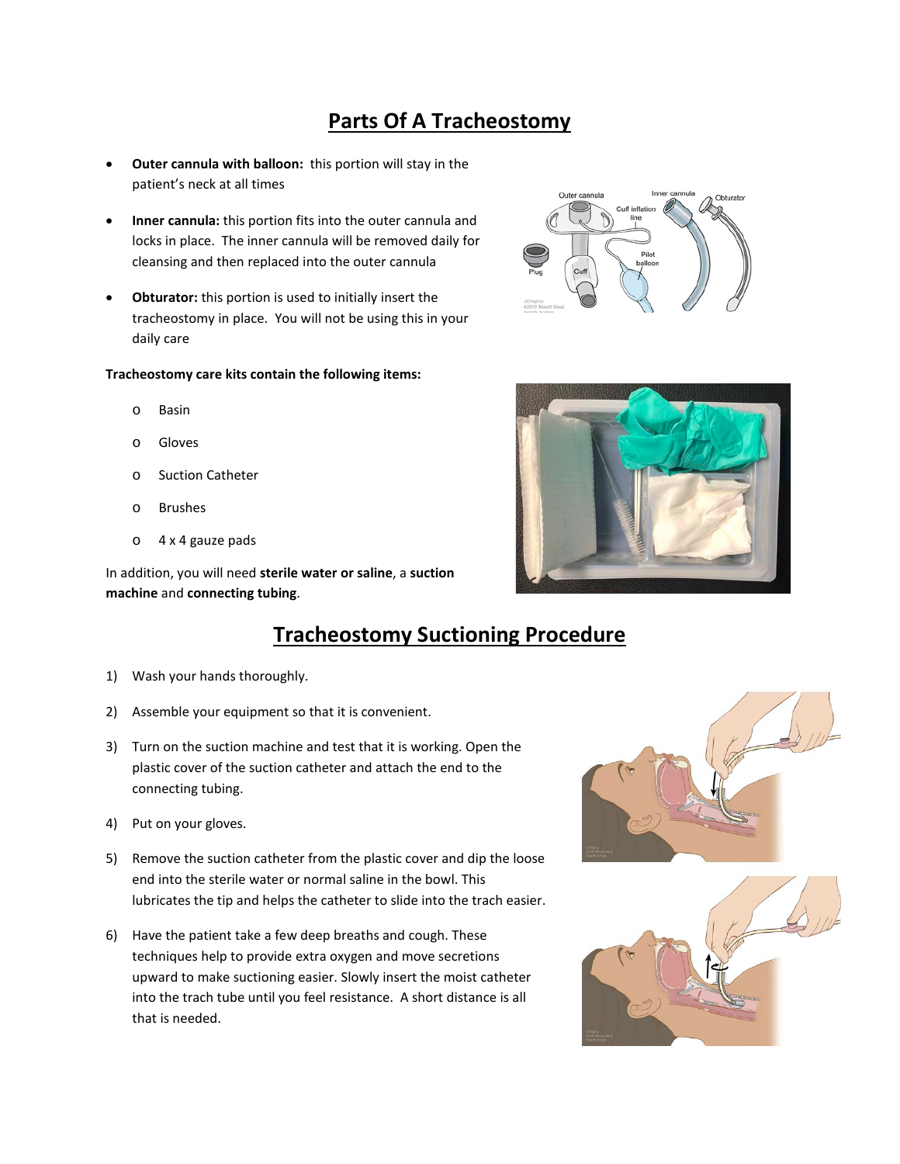# **Parts Of A Tracheostomy**

- **Outer cannula with balloon:** this portion will stay in the patient's neck at all times
- **Inner cannula:** this portion fits into the outer cannula and locks in place. The inner cannula will be removed daily for cleansing and then replaced into the outer cannula
- **Obturator:** this portion is used to initially insert the tracheostomy in place. You will not be using this in your daily care

#### **Tracheostomy care kits contain the following items:**

- o Basin
- o Gloves
- o Suction Catheter
- o Brushes
- o 4 x 4 gauze pads

In addition, you will need **sterile water or saline**, a **suction machine** and **connecting tubing**.

### **Tracheostomy Suctioning Procedure**

- 1) Wash your hands thoroughly.
- 2) Assemble your equipment so that it is convenient.
- 3) Turn on the suction machine and test that it is working. Open the plastic cover of the suction catheter and attach the end to the connecting tubing.
- 4) Put on your gloves.
- 5) Remove the suction catheter from the plastic cover and dip the loose end into the sterile water or normal saline in the bowl. This lubricates the tip and helps the catheter to slide into the trach easier.
- 6) Have the patient take a few deep breaths and cough. These techniques help to provide extra oxygen and move secretions upward to make suctioning easier. Slowly insert the moist catheter into the trach tube until you feel resistance. A short distance is all that is needed.